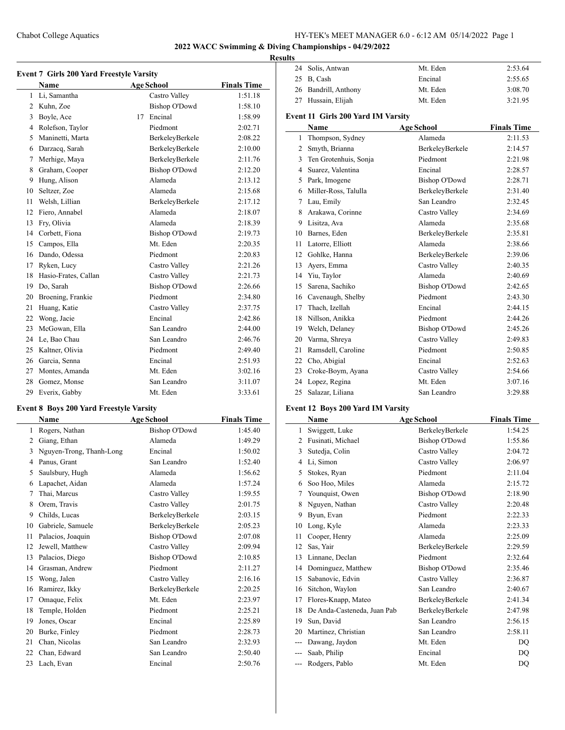# Chabot College Aquatics HY-TEK's MEET MANAGER 6.0 - 6:12 AM 05/14/2022 Page 1

# **2022 WACC Swimming & Diving Championships - 04/29/2022**

#### **Results**

|    | Event 7 Girls 200 Yard Freestyle Varsity<br><b>Name</b> | <b>Age School</b> |                      | <b>Finals Time</b> |
|----|---------------------------------------------------------|-------------------|----------------------|--------------------|
| 1  | Li, Samantha                                            |                   | Castro Valley        | 1:51.18            |
| 2  | Kuhn, Zoe                                               |                   | <b>Bishop O'Dowd</b> | 1:58.10            |
| 3  | Boyle, Ace                                              | 17                | Encinal              | 1:58.99            |
| 4  | Rolefson, Taylor                                        |                   | Piedmont             | 2:02.71            |
| 5  | Maninetti, Marta                                        |                   | BerkeleyBerkele      | 2:08.22            |
| 6  | Darzacq, Sarah                                          |                   | BerkeleyBerkele      | 2:10.00            |
| 7  | Merhige, Maya                                           |                   | BerkeleyBerkele      | 2:11.76            |
| 8  | Graham, Cooper                                          |                   | <b>Bishop O'Dowd</b> | 2:12.20            |
| 9  | Hung, Alison                                            |                   | Alameda              | 2:13.12            |
| 10 | Seltzer, Zoe                                            |                   | Alameda              | 2:15.68            |
| 11 | Welsh, Lillian                                          |                   | BerkeleyBerkele      | 2:17.12            |
| 12 | Fiero, Annabel                                          |                   | Alameda              | 2:18.07            |
| 13 | Fry, Olivia                                             |                   | Alameda              | 2:18.39            |
| 14 | Corbett, Fiona                                          |                   | <b>Bishop O'Dowd</b> | 2:19.73            |
| 15 | Campos, Ella                                            |                   | Mt. Eden             | 2:20.35            |
| 16 | Dando, Odessa                                           |                   | Piedmont             | 2:20.83            |
| 17 | Ryken, Lucy                                             |                   | Castro Valley        | 2:21.26            |
| 18 | Hasio-Frates, Callan                                    |                   | Castro Valley        | 2:21.73            |
| 19 | Do, Sarah                                               |                   | <b>Bishop O'Dowd</b> | 2:26.66            |
| 20 | Broening, Frankie                                       |                   | Piedmont             | 2:34.80            |
| 21 | Huang, Katie                                            |                   | Castro Valley        | 2:37.75            |
| 22 | Wong, Jacie                                             |                   | Encinal              | 2:42.86            |
| 23 | McGowan, Ella                                           |                   | San Leandro          | 2:44.00            |
| 24 | Le, Bao Chau                                            |                   | San Leandro          | 2:46.76            |
| 25 | Kaltner, Olivia                                         |                   | Piedmont             | 2:49.40            |
| 26 | Garcia, Senna                                           |                   | Encinal              | 2:51.93            |
| 27 | Montes, Amanda                                          |                   | Mt. Eden             | 3:02.16            |
| 28 | Gomez, Monse                                            |                   | San Leandro          | 3:11.07            |
| 29 | Everix, Gabby                                           |                   | Mt. Eden             | 3:33.61            |

# **Event 8 Boys 200 Yard Freestyle Varsity**

 $\overline{\phantom{0}}$ 

|    | <b>Name</b>              | <b>Age School</b>    | <b>Finals Time</b> |
|----|--------------------------|----------------------|--------------------|
| 1  | Rogers, Nathan           | <b>Bishop O'Dowd</b> | 1:45.40            |
| 2  | Giang, Ethan             | Alameda              | 1:49.29            |
| 3  | Nguyen-Trong, Thanh-Long | Encinal              | 1:50.02            |
| 4  | Panus, Grant             | San Leandro          | 1:52.40            |
| 5  | Saulsbury, Hugh          | Alameda              | 1:56.62            |
| 6  | Lapachet, Aidan          | Alameda              | 1:57.24            |
| 7  | Thai, Marcus             | Castro Valley        | 1:59.55            |
| 8  | Orem, Travis             | Castro Valley        | 2:01.75            |
| 9  | Childs, Lucas            | BerkeleyBerkele      | 2:03.15            |
| 10 | Gabriele, Samuele        | BerkeleyBerkele      | 2:05.23            |
| 11 | Palacios, Joaquin        | <b>Bishop O'Dowd</b> | 2:07.08            |
| 12 | Jewell, Matthew          | Castro Valley        | 2:09.94            |
| 13 | Palacios, Diego          | <b>Bishop O'Dowd</b> | 2:10.85            |
| 14 | Grasman, Andrew          | Piedmont             | 2:11.27            |
| 15 | Wong, Jalen              | Castro Valley        | 2:16.16            |
| 16 | Ramirez, Ikky            | BerkeleyBerkele      | 2:20.25            |
| 17 | Omaque, Felix            | Mt. Eden             | 2:23.97            |
| 18 | Temple, Holden           | Piedmont             | 2:25.21            |
| 19 | Jones, Oscar             | Encinal              | 2:25.89            |
| 20 | Burke, Finley            | Piedmont             | 2:28.73            |
| 21 | Chan, Nicolas            | San Leandro          | 2:32.93            |
| 22 | Chan, Edward             | San Leandro          | 2:50.40            |
| 23 | Lach, Evan               | Encinal              | 2:50.76            |

| 24 Solis, Antwan     | Mt. Eden | 2:53.64 |
|----------------------|----------|---------|
| 25 B, Cash           | Encinal  | 2:55.65 |
| 26 Bandrill, Anthony | Mt. Eden | 3:08.70 |
| 27 Hussain, Elijah   | Mt. Eden | 3:21.95 |

# **Event 11 Girls 200 Yard IM Varsity**

|    | Name                  | <b>Age School</b>    | <b>Finals Time</b> |
|----|-----------------------|----------------------|--------------------|
| 1  | Thompson, Sydney      | Alameda              | 2:11.53            |
| 2  | Smyth, Brianna        | BerkeleyBerkele      | 2:14.57            |
| 3  | Ten Grotenhuis, Sonja | Piedmont             | 2:21.98            |
| 4  | Suarez, Valentina     | Encinal              | 2:28.57            |
| 5  | Park, Imogene         | <b>Bishop O'Dowd</b> | 2:28.71            |
| 6  | Miller-Ross, Talulla  | BerkeleyBerkele      | 2:31.40            |
| 7  | Lau, Emily            | San Leandro          | 2:32.45            |
| 8  | Arakawa, Corinne      | Castro Valley        | 2:34.69            |
| 9  | Lisitza, Ava          | Alameda              | 2:35.68            |
| 10 | Barnes, Eden          | BerkeleyBerkele      | 2:35.81            |
| 11 | Latorre, Elliott      | Alameda              | 2:38.66            |
| 12 | Gohlke, Hanna         | BerkeleyBerkele      | 2:39.06            |
| 13 | Ayers, Emma           | Castro Valley        | 2:40.35            |
| 14 | Yiu, Taylor           | Alameda              | 2:40.69            |
| 15 | Sarena, Sachiko       | <b>Bishop O'Dowd</b> | 2:42.65            |
| 16 | Cavenaugh, Shelby     | Piedmont             | 2:43.30            |
| 17 | Thach, Izellah        | Encinal              | 2:44.15            |
| 18 | Nillson, Anikka       | Piedmont             | 2:44.26            |
| 19 | Welch, Delaney        | <b>Bishop O'Dowd</b> | 2:45.26            |
| 20 | Varma, Shreya         | Castro Valley        | 2:49.83            |
| 21 | Ramsdell, Caroline    | Piedmont             | 2:50.85            |
| 22 | Cho, Abigial          | Encinal              | 2:52.63            |
| 23 | Croke-Boym, Ayana     | Castro Valley        | 2:54.66            |
| 24 | Lopez, Regina         | Mt. Eden             | 3:07.16            |
| 25 | Salazar, Liliana      | San Leandro          | 3:29.88            |

# **Event 12 Boys 200 Yard IM Varsity**

|       | Name                        | <b>Age School</b>    | <b>Finals Time</b> |
|-------|-----------------------------|----------------------|--------------------|
| 1     | Swiggett, Luke              | BerkeleyBerkele      | 1:54.25            |
| 2     | Fusinati, Michael           | <b>Bishop O'Dowd</b> | 1:55.86            |
| 3     | Sutedja, Colin              | Castro Valley        | 2:04.72            |
| 4     | Li, Simon                   | Castro Valley        | 2:06.97            |
| 5     | Stokes, Ryan                | Piedmont             | 2:11.04            |
| 6     | Soo Hoo, Miles              | Alameda              | 2:15.72            |
| 7     | Younquist, Owen             | <b>Bishop O'Dowd</b> | 2:18.90            |
| 8     | Nguyen, Nathan              | Castro Valley        | 2:20.48            |
| 9     | Byun, Evan                  | Piedmont             | 2:22.33            |
| 10    | Long, Kyle                  | Alameda              | 2:23.33            |
| 11    | Cooper, Henry               | Alameda              | 2:25.09            |
| 12    | Sas, Yair                   | BerkeleyBerkele      | 2:29.59            |
| 13    | Linnane, Declan             | Piedmont             | 2:32.64            |
| 14    | Dominguez, Matthew          | <b>Bishop O'Dowd</b> | 2:35.46            |
| 15    | Sabanovic, Edvin            | Castro Valley        | 2:36.87            |
| 16    | Sitchon, Waylon             | San Leandro          | 2:40.67            |
| 17    | Flores-Knapp, Mateo         | BerkeleyBerkele      | 2:41.34            |
| 18    | De Anda-Casteneda, Juan Pab | BerkeleyBerkele      | 2:47.98            |
| 19    | Sun, David                  | San Leandro          | 2:56.15            |
| 20    | Martinez, Christian         | San Leandro          | 2:58.11            |
| ---   | Dawang, Jaydon              | Mt. Eden             | DQ                 |
|       | Saab, Philip                | Encinal              | DQ                 |
| $---$ | Rodgers, Pablo              | Mt. Eden             | DQ                 |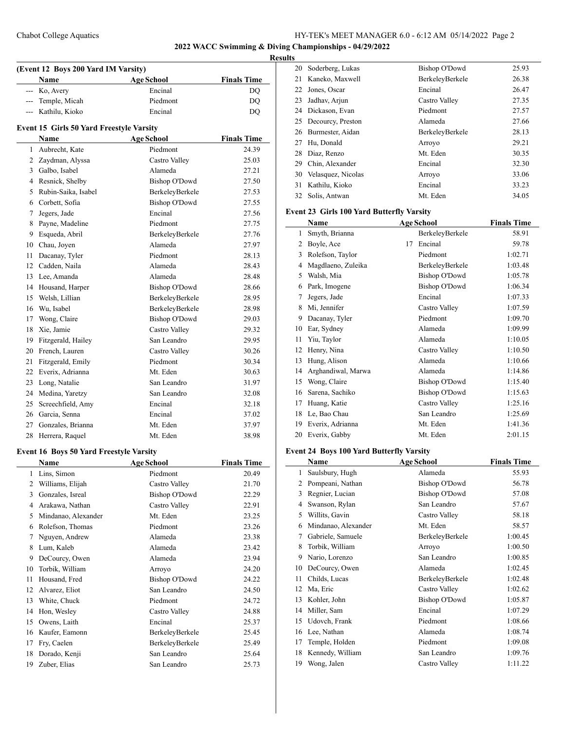**2022 WACC Swimming & Diving Championships - 04/29/2022**

#### **Results**

| (Event 12 Boys 200 Yard IM Varsity) |                                                 |                      |                    |  |
|-------------------------------------|-------------------------------------------------|----------------------|--------------------|--|
|                                     | Name                                            | <b>Age School</b>    | <b>Finals Time</b> |  |
| $\overline{a}$                      | Ko, Avery                                       | Encinal              | DQ                 |  |
| ---                                 | Temple, Micah                                   | Piedmont             | DQ                 |  |
|                                     | --- Kathilu, Kioko                              | Encinal              | <b>DQ</b>          |  |
|                                     | <b>Event 15 Girls 50 Yard Freestyle Varsity</b> |                      |                    |  |
|                                     | <b>Name</b>                                     | <b>Age School</b>    | <b>Finals Time</b> |  |
| 1                                   | Aubrecht, Kate                                  | Piedmont             | 24.39              |  |
|                                     | 2 Zaydman, Alyssa                               | Castro Valley        | 25.03              |  |
|                                     | 3 Galbo, Isabel                                 | Alameda              | 27.21              |  |
|                                     | 4 Resnick, Shelby                               | <b>Bishop O'Dowd</b> | 27.50              |  |
| 5                                   | Rubin-Saika, Isabel                             | BerkeleyBerkele      | 27.53              |  |
|                                     | 6 Corbett, Sofia                                | Bishop O'Dowd        | 27.55              |  |
| 7                                   | Jegers, Jade                                    | Encinal              | 27.56              |  |
| 8                                   | Payne, Madeline                                 | Piedmont             | 27.75              |  |
| 9                                   | Esqueda, Abril                                  | BerkeleyBerkele      | 27.76              |  |
|                                     | 10 Chau, Joyen                                  | Alameda              | 27.97              |  |
| 11                                  | Dacanay, Tyler                                  | Piedmont             | 28.13              |  |
|                                     | 12 Cadden, Naila                                | Alameda              | 28.43              |  |
|                                     | 13 Lee, Amanda                                  | Alameda              | 28.48              |  |
|                                     | 14 Housand, Harper                              | Bishop O'Dowd        | 28.66              |  |
| 15                                  | Welsh, Lillian                                  | BerkeleyBerkele      | 28.95              |  |
| 16                                  | Wu, Isabel                                      | BerkeleyBerkele      | 28.98              |  |
| 17                                  | Wong, Claire                                    | <b>Bishop O'Dowd</b> | 29.03              |  |
| 18                                  | Xie, Jamie                                      | Castro Valley        | 29.32              |  |
| 19                                  | Fitzgerald, Hailey                              | San Leandro          | 29.95              |  |
| 20                                  | French, Lauren                                  | Castro Valley        | 30.26              |  |
| 21                                  | Fitzgerald, Emily                               | Piedmont             | 30.34              |  |
| 22                                  | Everix, Adrianna                                | Mt. Eden             | 30.63              |  |
| 23                                  | Long, Natalie                                   | San Leandro          | 31.97              |  |
|                                     | 24 Medina, Yaretzy                              | San Leandro          | 32.08              |  |
| 25                                  | Screechfield, Amy                               | Encinal              | 32.18              |  |
|                                     | 26 Garcia, Senna                                | Encinal              | 37.02              |  |
|                                     | 27 Gonzales, Brianna                            | Mt. Eden             | 37.97              |  |
| 28                                  | Herrera, Raquel                                 | Mt. Eden             | 38.98              |  |

# **Event 16 Boys 50 Yard Freestyle Varsity**

 $\overline{a}$ 

|    | Name                | <b>Age School</b>    | <b>Finals Time</b> |
|----|---------------------|----------------------|--------------------|
| 1  | Lins, Simon         | Piedmont             | 20.49              |
| 2  | Williams, Elijah    | Castro Valley        | 21.70              |
| 3  | Gonzales, Isreal    | <b>Bishop O'Dowd</b> | 22.29              |
| 4  | Arakawa, Nathan     | Castro Valley        | 22.91              |
| 5  | Mindanao, Alexander | Mt. Eden             | 23.25              |
| 6  | Rolefson, Thomas    | Piedmont             | 23.26              |
| 7  | Nguyen, Andrew      | Alameda              | 23.38              |
| 8  | Lum, Kaleb          | Alameda              | 23.42              |
| 9  | DeCourcy, Owen      | Alameda              | 23.94              |
| 10 | Torbik, William     | Arroyo               | 24.20              |
| 11 | Housand, Fred       | Bishop O'Dowd        | 24.22              |
| 12 | Alvarez, Eliot      | San Leandro          | 24.50              |
| 13 | White, Chuck        | Piedmont             | 24.72              |
| 14 | Hon, Wesley         | Castro Valley        | 24.88              |
| 15 | Owens, Laith        | Encinal              | 25.37              |
| 16 | Kaufer, Eamonn      | BerkeleyBerkele      | 25.45              |
| 17 | Fry, Caelen         | BerkeleyBerkele      | 25.49              |
| 18 | Dorado, Kenji       | San Leandro          | 25.64              |
| 19 | Zuber, Elias        | San Leandro          | 25.73              |

| Soderberg, Lukas<br>20   | Bishop O'Dowd   | 25.93 |
|--------------------------|-----------------|-------|
| Kaneko, Maxwell<br>21    | BerkelevBerkele | 26.38 |
| Jones, Oscar<br>22       | Encinal         | 26.47 |
| Jadhav, Arjun<br>23      | Castro Valley   | 27.35 |
| 24 Dickason, Evan        | Piedmont        | 27.57 |
| 25 Decourcy, Preston     | Alameda         | 27.66 |
| Burmester, Aidan<br>26   | BerkelevBerkele | 28.13 |
| Hu, Donald<br>27         | Arroyo          | 29.21 |
| Diaz, Renzo<br>28        | Mt. Eden        | 30.35 |
| Chin, Alexander<br>29    | Encinal         | 32.30 |
| Velasquez, Nicolas<br>30 | Arroyo          | 33.06 |
| Kathilu, Kioko<br>31     | Encinal         | 33.23 |
| Solis, Antwan<br>32      | Mt. Eden        | 34.05 |

#### **Event 23 Girls 100 Yard Butterfly Varsity**

|    | Name               |    | <b>Age School</b>    | <b>Finals Time</b> |
|----|--------------------|----|----------------------|--------------------|
| 1  | Smyth, Brianna     |    | BerkeleyBerkele      | 58.91              |
| 2  | Boyle, Ace         | 17 | Encinal              | 59.78              |
| 3  | Rolefson, Taylor   |    | Piedmont             | 1:02.71            |
| 4  | Magdlaeno, Zuleika |    | BerkeleyBerkele      | 1:03.48            |
| 5  | Walsh, Mia         |    | <b>Bishop O'Dowd</b> | 1:05.78            |
| 6  | Park, Imogene      |    | <b>Bishop O'Dowd</b> | 1:06.34            |
| 7  | Jegers, Jade       |    | Encinal              | 1:07.33            |
| 8  | Mi, Jennifer       |    | Castro Valley        | 1:07.59            |
| 9  | Dacanay, Tyler     |    | Piedmont             | 1:09.70            |
| 10 | Ear, Sydney        |    | Alameda              | 1:09.99            |
| 11 | Yiu, Taylor        |    | Alameda              | 1:10.05            |
| 12 | Henry, Nina        |    | Castro Valley        | 1:10.50            |
| 13 | Hung, Alison       |    | Alameda              | 1:10.66            |
| 14 | Arghandiwal, Marwa |    | Alameda              | 1:14.86            |
| 15 | Wong, Claire       |    | <b>Bishop O'Dowd</b> | 1:15.40            |
| 16 | Sarena, Sachiko    |    | <b>Bishop O'Dowd</b> | 1:15.63            |
| 17 | Huang, Katie       |    | Castro Valley        | 1:25.16            |
| 18 | Le, Bao Chau       |    | San Leandro          | 1:25.69            |
| 19 | Everix, Adrianna   |    | Mt. Eden             | 1:41.36            |
| 20 | Everix, Gabby      |    | Mt. Eden             | 2:01.15            |

# **Event 24 Boys 100 Yard Butterfly Varsity**

|    | Name                | <b>Age School</b>    | <b>Finals Time</b> |
|----|---------------------|----------------------|--------------------|
| 1  | Saulsbury, Hugh     | Alameda              | 55.93              |
| 2  | Pompeani, Nathan    | <b>Bishop O'Dowd</b> | 56.78              |
| 3  | Regnier, Lucian     | Bishop O'Dowd        | 57.08              |
| 4  | Swanson, Rylan      | San Leandro          | 57.67              |
| 5  | Willits, Gavin      | Castro Valley        | 58.18              |
| 6  | Mindanao, Alexander | Mt. Eden             | 58.57              |
| 7  | Gabriele, Samuele   | BerkeleyBerkele      | 1:00.45            |
| 8  | Torbik, William     | Arroyo               | 1:00.50            |
| 9  | Nario, Lorenzo      | San Leandro          | 1:00.85            |
| 10 | DeCourcy, Owen      | Alameda              | 1:02.45            |
| 11 | Childs, Lucas       | BerkeleyBerkele      | 1:02.48            |
| 12 | Ma, Eric            | Castro Valley        | 1:02.62            |
| 13 | Kohler, John        | <b>Bishop O'Dowd</b> | 1:05.87            |
| 14 | Miller, Sam         | Encinal              | 1:07.29            |
| 15 | Udovch, Frank       | Piedmont             | 1:08.66            |
| 16 | Lee, Nathan         | Alameda              | 1:08.74            |
| 17 | Temple, Holden      | Piedmont             | 1:09.08            |
| 18 | Kennedy, William    | San Leandro          | 1:09.76            |
| 19 | Wong, Jalen         | Castro Valley        | 1:11.22            |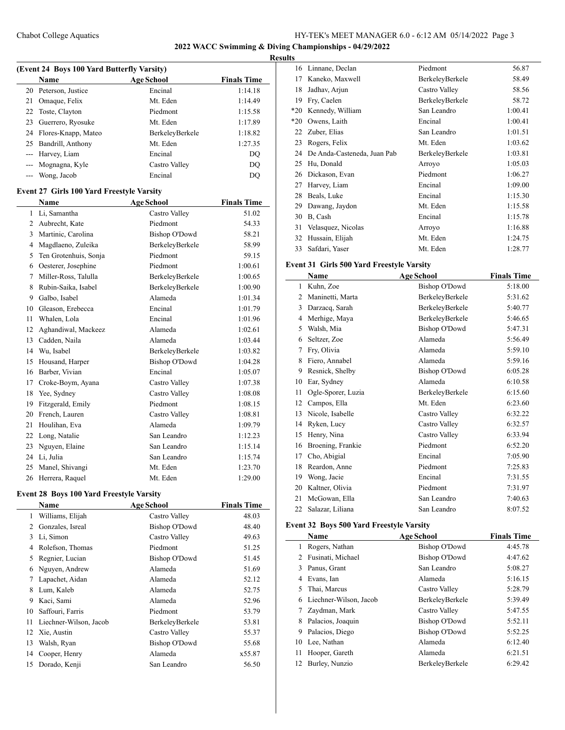# Chabot College Aquatics HY-TEK's MEET MANAGER 6.0 - 6:12 AM 05/14/2022 Page 3

**2022 WACC Swimming & Diving Championships - 04/29/2022**

# **Results**

| (Event 24 Boys 100 Yard Butterfly Varsity) |                   |                    |  |  |
|--------------------------------------------|-------------------|--------------------|--|--|
| Name                                       | <b>Age School</b> | <b>Finals Time</b> |  |  |
| 20 Peterson, Justice                       | Encinal           | 1:14.18            |  |  |
| Omaque, Felix                              | Mt. Eden          | 1:14.49            |  |  |
| 22 Toste, Clayton                          | Piedmont          | 1:15.58            |  |  |
| Guerrero, Ryosuke                          | Mt. Eden          | 1:17.89            |  |  |
| 24 Flores-Knapp, Mateo                     | BerkelevBerkele   | 1:18.82            |  |  |
| Bandrill, Anthony                          | Mt. Eden          | 1:27.35            |  |  |
| --- Harvey, Liam                           | Encinal           | DQ                 |  |  |
| --- Mognagna, Kyle                         | Castro Valley     | DO                 |  |  |
| Wong, Jacob                                | Encinal           | DO                 |  |  |
|                                            |                   |                    |  |  |

#### **Event 27 Girls 100 Yard Freestyle Varsity**

|    | <b>Name</b>           | <b>Age School</b>    | <b>Finals Time</b> |
|----|-----------------------|----------------------|--------------------|
| 1  | Li, Samantha          | Castro Valley        | 51.02              |
| 2  | Aubrecht, Kate        | Piedmont             | 54.33              |
| 3  | Martinic, Carolina    | Bishop O'Dowd        | 58.21              |
| 4  | Magdlaeno, Zuleika    | BerkeleyBerkele      | 58.99              |
| 5  | Ten Grotenhuis, Sonja | Piedmont             | 59.15              |
| 6  | Oesterer, Josephine   | Piedmont             | 1:00.61            |
| 7  | Miller-Ross, Talulla  | BerkeleyBerkele      | 1:00.65            |
| 8  | Rubin-Saika, Isabel   | BerkeleyBerkele      | 1:00.90            |
| 9  | Galbo, Isabel         | Alameda              | 1:01.34            |
| 10 | Gleason, Erebecca     | Encinal              | 1:01.79            |
| 11 | Whalen, Lola          | Encinal              | 1:01.96            |
| 12 | Aghandiwal, Mackeez   | Alameda              | 1:02.61            |
| 13 | Cadden, Naila         | Alameda              | 1:03.44            |
| 14 | Wu, Isabel            | BerkeleyBerkele      | 1:03.82            |
| 15 | Housand, Harper       | <b>Bishop O'Dowd</b> | 1:04.28            |
| 16 | Barber, Vivian        | Encinal              | 1:05.07            |
| 17 | Croke-Boym, Ayana     | Castro Valley        | 1:07.38            |
| 18 | Yee, Sydney           | Castro Valley        | 1:08.08            |
| 19 | Fitzgerald, Emily     | Piedmont             | 1:08.15            |
| 20 | French, Lauren        | Castro Valley        | 1:08.81            |
| 21 | Houlihan, Eva         | Alameda              | 1:09.79            |
| 22 | Long, Natalie         | San Leandro          | 1:12.23            |
| 23 | Nguyen, Elaine        | San Leandro          | 1:15.14            |
| 24 | Li, Julia             | San Leandro          | 1:15.74            |
| 25 | Manel, Shivangi       | Mt. Eden             | 1:23.70            |
| 26 | Herrera, Raquel       | Mt. Eden             | 1:29.00            |

#### **Event 28 Boys 100 Yard Freestyle Varsity**

|    | Name                   | <b>Age School</b> | <b>Finals Time</b> |
|----|------------------------|-------------------|--------------------|
| 1. | Williams, Elijah       | Castro Valley     | 48.03              |
| 2  | Gonzales, Isreal       | Bishop O'Dowd     | 48.40              |
| 3  | Li, Simon              | Castro Valley     | 49.63              |
| 4  | Rolefson, Thomas       | Piedmont          | 51.25              |
| 5  | Regnier, Lucian        | Bishop O'Dowd     | 51.45              |
| 6  | Nguyen, Andrew         | Alameda           | 51.69              |
| 7  | Lapachet, Aidan        | Alameda           | 52.12              |
| 8  | Lum, Kaleb             | Alameda           | 52.75              |
| 9  | Kaci, Sami             | Alameda           | 52.96              |
| 10 | Saffouri, Farris       | Piedmont          | 53.79              |
| 11 | Liechner-Wilson, Jacob | BerkeleyBerkele   | 53.81              |
| 12 | Xie, Austin            | Castro Valley     | 55.37              |
| 13 | Walsh, Ryan            | Bishop O'Dowd     | 55.68              |
| 14 | Cooper, Henry          | Alameda           | x55.87             |
| 15 | Dorado, Kenji          | San Leandro       | 56.50              |

| 16    | Linnane, Declan             | Piedmont        | 56.87   |
|-------|-----------------------------|-----------------|---------|
| 17    | Kaneko, Maxwell             | BerkeleyBerkele | 58.49   |
| 18    | Jadhav, Arjun               | Castro Valley   | 58.56   |
| 19    | Fry, Caelen                 | BerkeleyBerkele | 58.72   |
| $*20$ | Kennedy, William            | San Leandro     | 1:00.41 |
| $*20$ | Owens, Laith                | Encinal         | 1:00.41 |
| 22    | Zuber, Elias                | San Leandro     | 1:01.51 |
| 23    | Rogers, Felix               | Mt. Eden        | 1:03.62 |
| 24    | De Anda-Casteneda, Juan Pab | BerkeleyBerkele | 1:03.81 |
| 25    | Hu, Donald                  | Arroyo          | 1:05.03 |
| 26    | Dickason, Evan              | Piedmont        | 1:06.27 |
| 27    | Harvey, Liam                | Encinal         | 1:09.00 |
| 28    | Beals, Luke                 | Encinal         | 1:15.30 |
| 29    | Dawang, Jaydon              | Mt. Eden        | 1:15.58 |
| 30    | B, Cash                     | Encinal         | 1:15.78 |
| 31    | Velasquez, Nicolas          | Arroyo          | 1:16.88 |
| 32    | Hussain, Elijah             | Mt. Eden        | 1:24.75 |
| 33    | Safdari, Yaser              | Mt. Eden        | 1:28.77 |

# **Event 31 Girls 500 Yard Freestyle Varsity**

|    | Name               | <b>Age School</b>    | <b>Finals Time</b> |
|----|--------------------|----------------------|--------------------|
| 1  | Kuhn, Zoe          | <b>Bishop O'Dowd</b> | 5:18.00            |
| 2  | Maninetti, Marta   | BerkeleyBerkele      | 5:31.62            |
| 3  | Darzacq, Sarah     | BerkeleyBerkele      | 5:40.77            |
| 4  | Merhige, Maya      | BerkeleyBerkele      | 5:46.65            |
| 5  | Walsh, Mia         | <b>Bishop O'Dowd</b> | 5:47.31            |
| 6  | Seltzer, Zoe       | Alameda              | 5:56.49            |
| 7  | Fry, Olivia        | Alameda              | 5:59.10            |
| 8  | Fiero, Annabel     | Alameda              | 5:59.16            |
| 9  | Resnick, Shelby    | <b>Bishop O'Dowd</b> | 6:05.28            |
| 10 | Ear, Sydney        | Alameda              | 6:10.58            |
| 11 | Ogle-Sporer, Luzia | BerkeleyBerkele      | 6:15.60            |
| 12 | Campos, Ella       | Mt. Eden             | 6:23.60            |
| 13 | Nicole, Isabelle   | Castro Valley        | 6:32.22            |
| 14 | Ryken, Lucy        | Castro Valley        | 6:32.57            |
| 15 | Henry, Nina        | Castro Valley        | 6:33.94            |
| 16 | Broening, Frankie  | Piedmont             | 6:52.20            |
| 17 | Cho, Abigial       | Encinal              | 7:05.90            |
| 18 | Reardon, Anne      | Piedmont             | 7:25.83            |
| 19 | Wong, Jacie        | Encinal              | 7:31.55            |
| 20 | Kaltner, Olivia    | Piedmont             | 7:31.97            |
| 21 | McGowan, Ella      | San Leandro          | 7:40.63            |
| 22 | Salazar, Liliana   | San Leandro          | 8:07.52            |

# **Event 32 Boys 500 Yard Freestyle Varsity**

|    | Name                   | <b>Age School</b> | <b>Finals Time</b> |
|----|------------------------|-------------------|--------------------|
|    | Rogers, Nathan         | Bishop O'Dowd     | 4:45.78            |
| 2  | Fusinati, Michael      | Bishop O'Dowd     | 4:47.62            |
| 3  | Panus, Grant           | San Leandro       | 5:08.27            |
| 4  | Evans, Ian             | Alameda           | 5:16.15            |
| 5  | Thai, Marcus           | Castro Valley     | 5:28.79            |
| 6  | Liechner-Wilson, Jacob | BerkeleyBerkele   | 5:39.49            |
|    | Zaydman, Mark          | Castro Valley     | 5:47.55            |
| 8  | Palacios, Joaquin      | Bishop O'Dowd     | 5:52.11            |
| 9  | Palacios, Diego        | Bishop O'Dowd     | 5:52.25            |
| 10 | Lee, Nathan            | Alameda           | 6:12.40            |
| 11 | Hooper, Gareth         | Alameda           | 6:21.51            |
| 12 | Burley, Nunzio         | BerkelevBerkele   | 6:29.42            |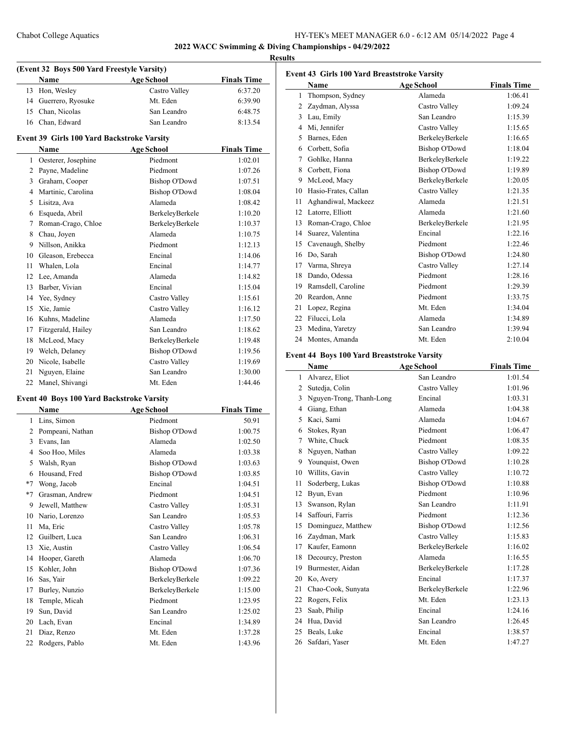# **2022 WACC Swimming & Diving Championships - 04/29/2022**

 $\overline{a}$ 

# **Results**

| (Event 32 Boys 500 Yard Freestyle Varsity) |                   |                    |  |
|--------------------------------------------|-------------------|--------------------|--|
| Name                                       | <b>Age School</b> | <b>Finals Time</b> |  |
| 13 Hon, Wesley                             | Castro Valley     | 6:37.20            |  |
| 14 Guerrero, Ryosuke                       | Mt. Eden          | 6:39.90            |  |
| 15 Chan, Nicolas                           | San Leandro       | 6:48.75            |  |
| 16 Chan, Edward                            | San Leandro       | 8.1354             |  |

#### **Event 39 Girls 100 Yard Backstroke Varsity**

|    | Name                | <b>Age School</b>    | <b>Finals Time</b> |
|----|---------------------|----------------------|--------------------|
| 1  | Oesterer, Josephine | Piedmont             | 1:02.01            |
| 2  | Payne, Madeline     | Piedmont             | 1:07.26            |
| 3  | Graham, Cooper      | <b>Bishop O'Dowd</b> | 1:07.51            |
| 4  | Martinic, Carolina  | <b>Bishop O'Dowd</b> | 1:08.04            |
| 5  | Lisitza, Ava        | Alameda              | 1:08.42            |
| 6  | Esqueda, Abril      | BerkeleyBerkele      | 1:10.20            |
| 7  | Roman-Crago, Chloe  | BerkeleyBerkele      | 1:10.37            |
| 8  | Chau, Joyen         | Alameda              | 1:10.75            |
| 9  | Nillson, Anikka     | Piedmont             | 1:12.13            |
| 10 | Gleason, Erebecca   | Encinal              | 1:14.06            |
| 11 | Whalen, Lola        | Encinal              | 1:14.77            |
| 12 | Lee, Amanda         | Alameda              | 1:14.82            |
| 13 | Barber, Vivian      | Encinal              | 1:15.04            |
| 14 | Yee, Sydney         | Castro Valley        | 1:15.61            |
| 15 | Xie, Jamie          | Castro Valley        | 1:16.12            |
| 16 | Kuhns, Madeline     | Alameda              | 1:17.50            |
| 17 | Fitzgerald, Hailey  | San Leandro          | 1:18.62            |
| 18 | McLeod, Macy        | BerkeleyBerkele      | 1:19.48            |
| 19 | Welch, Delaney      | <b>Bishop O'Dowd</b> | 1:19.56            |
| 20 | Nicole, Isabelle    | Castro Valley        | 1:19.69            |
| 21 | Nguyen, Elaine      | San Leandro          | 1:30.00            |
| 22 | Manel, Shivangi     | Mt. Eden             | 1:44.46            |

#### **Event 40 Boys 100 Yard Backstroke Varsity**

 $\overline{a}$ 

|                | Name             | <b>Age School</b>    | <b>Finals Time</b> |
|----------------|------------------|----------------------|--------------------|
| 1              | Lins, Simon      | Piedmont             | 50.91              |
| $\overline{2}$ | Pompeani, Nathan | Bishop O'Dowd        | 1:00.75            |
| 3              | Evans, Ian       | Alameda              | 1:02.50            |
| 4              | Soo Hoo, Miles   | Alameda              | 1:03.38            |
| 5              | Walsh, Ryan      | <b>Bishop O'Dowd</b> | 1:03.63            |
| 6              | Housand, Fred    | <b>Bishop O'Dowd</b> | 1:03.85            |
| $*7$           | Wong, Jacob      | Encinal              | 1:04.51            |
| $*7$           | Grasman, Andrew  | Piedmont             | 1:04.51            |
| 9              | Jewell, Matthew  | Castro Valley        | 1:05.31            |
| 10             | Nario, Lorenzo   | San Leandro          | 1:05.53            |
| 11             | Ma, Eric         | Castro Valley        | 1:05.78            |
| 12             | Guilbert, Luca   | San Leandro          | 1:06.31            |
| 13             | Xie, Austin      | Castro Valley        | 1:06.54            |
| 14             | Hooper, Gareth   | Alameda              | 1:06.70            |
| 15             | Kohler, John     | Bishop O'Dowd        | 1:07.36            |
| 16             | Sas, Yair        | BerkeleyBerkele      | 1:09.22            |
| 17             | Burley, Nunzio   | BerkeleyBerkele      | 1:15.00            |
| 18             | Temple, Micah    | Piedmont             | 1:23.95            |
| 19             | Sun, David       | San Leandro          | 1:25.02            |
| 20             | Lach, Evan       | Encinal              | 1:34.89            |
| 21             | Diaz, Renzo      | Mt. Eden             | 1:37.28            |
| 22             | Rodgers, Pablo   | Mt. Eden             | 1:43.96            |
|                |                  |                      |                    |

| <b>Event 43 Girls 100 Yard Breaststroke Varsity</b> |                      |                      |                    |
|-----------------------------------------------------|----------------------|----------------------|--------------------|
|                                                     | <b>Name</b>          | <b>Age School</b>    | <b>Finals Time</b> |
| 1                                                   | Thompson, Sydney     | Alameda              | 1:06.41            |
| 2                                                   | Zaydman, Alyssa      | Castro Valley        | 1:09.24            |
| 3                                                   | Lau, Emily           | San Leandro          | 1:15.39            |
| 4                                                   | Mi, Jennifer         | Castro Valley        | 1:15.65            |
| 5                                                   | Barnes, Eden         | BerkeleyBerkele      | 1:16.65            |
| 6                                                   | Corbett, Sofia       | <b>Bishop O'Dowd</b> | 1:18.04            |
| 7                                                   | Gohlke, Hanna        | BerkeleyBerkele      | 1:19.22            |
| 8                                                   | Corbett, Fiona       | <b>Bishop O'Dowd</b> | 1:19.89            |
| 9                                                   | McLeod, Macy         | BerkeleyBerkele      | 1:20.05            |
| 10                                                  | Hasio-Frates, Callan | Castro Valley        | 1:21.35            |
| 11                                                  | Aghandiwal, Mackeez  | Alameda              | 1:21.51            |
| 12                                                  | Latorre, Elliott     | Alameda              | 1:21.60            |
| 13                                                  | Roman-Crago, Chloe   | BerkeleyBerkele      | 1:21.95            |
| 14                                                  | Suarez, Valentina    | Encinal              | 1:22.16            |
| 15                                                  | Cavenaugh, Shelby    | Piedmont             | 1:22.46            |
| 16                                                  | Do, Sarah            | <b>Bishop O'Dowd</b> | 1:24.80            |
| 17                                                  | Varma, Shreya        | Castro Valley        | 1:27.14            |
| 18                                                  | Dando, Odessa        | Piedmont             | 1:28.16            |
| 19                                                  | Ramsdell, Caroline   | Piedmont             | 1:29.39            |
| 20                                                  | Reardon, Anne        | Piedmont             | 1:33.75            |
| 21                                                  | Lopez, Regina        | Mt. Eden             | 1:34.04            |
| 22                                                  | Filucci, Lola        | Alameda              | 1:34.89            |
| 23                                                  | Medina, Yaretzy      | San Leandro          | 1:39.94            |
| 24                                                  | Montes, Amanda       | Mt. Eden             | 2:10.04            |

# **Event 44 Boys 100 Yard Breaststroke Varsity**

|                | Name                     | <b>Age School</b>    | <b>Finals Time</b> |
|----------------|--------------------------|----------------------|--------------------|
| 1              | Alvarez, Eliot           | San Leandro          | 1:01.54            |
| 2              | Sutedja, Colin           | Castro Valley        | 1:01.96            |
| 3              | Nguyen-Trong, Thanh-Long | Encinal              | 1:03.31            |
| $\overline{4}$ | Giang, Ethan             | Alameda              | 1:04.38            |
| 5              | Kaci, Sami               | Alameda              | 1:04.67            |
| 6              | Stokes, Ryan             | Piedmont             | 1:06.47            |
| 7              | White, Chuck             | Piedmont             | 1:08.35            |
| 8              | Nguyen, Nathan           | Castro Valley        | 1:09.22            |
| 9              | Younquist, Owen          | <b>Bishop O'Dowd</b> | 1:10.28            |
| 10             | Willits, Gavin           | Castro Valley        | 1:10.72            |
| 11             | Soderberg, Lukas         | <b>Bishop O'Dowd</b> | 1:10.88            |
| 12             | Byun, Evan               | Piedmont             | 1:10.96            |
| 13             | Swanson, Rylan           | San Leandro          | 1:11.91            |
| 14             | Saffouri, Farris         | Piedmont             | 1:12.36            |
| 15             | Dominguez, Matthew       | <b>Bishop O'Dowd</b> | 1:12.56            |
| 16             | Zaydman, Mark            | Castro Valley        | 1:15.83            |
| 17             | Kaufer, Eamonn           | BerkeleyBerkele      | 1:16.02            |
| 18             | Decourcy, Preston        | Alameda              | 1:16.55            |
| 19             | Burmester, Aidan         | BerkeleyBerkele      | 1:17.28            |
| 20             | Ko, Avery                | Encinal              | 1:17.37            |
| 21             | Chao-Cook, Sunyata       | BerkeleyBerkele      | 1:22.96            |
| 22             | Rogers, Felix            | Mt. Eden             | 1:23.13            |
| 23             | Saab, Philip             | Encinal              | 1:24.16            |
| 24             | Hua, David               | San Leandro          | 1:26.45            |
| 25             | Beals, Luke              | Encinal              | 1:38.57            |
| 26             | Safdari, Yaser           | Mt. Eden             | 1:47.27            |
|                |                          |                      |                    |